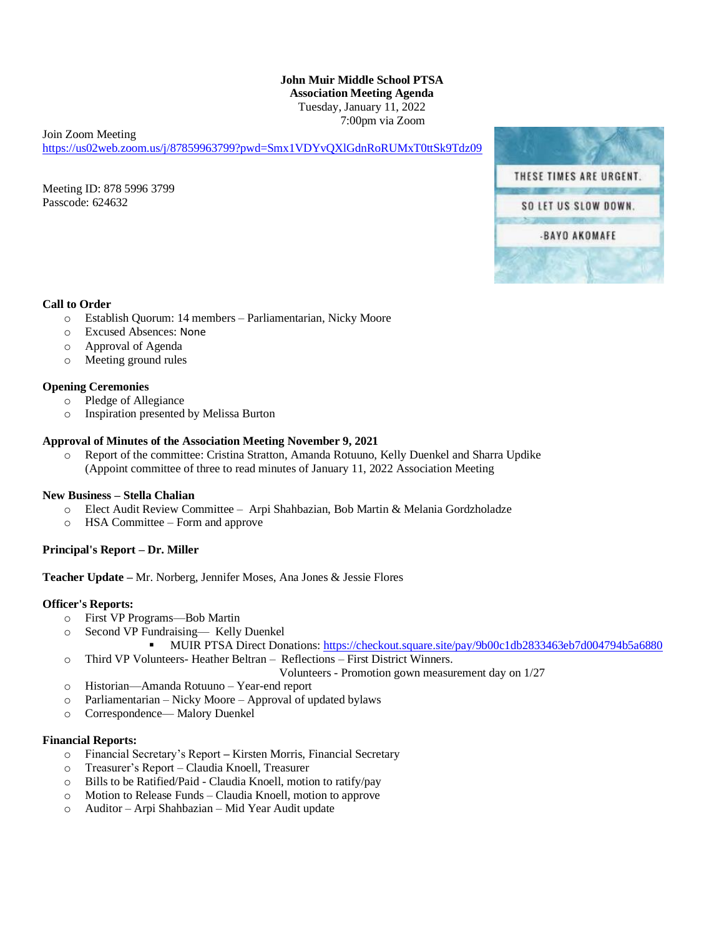## **John Muir Middle School PTSA Association Meeting Agenda** Tuesday, January 11, 2022 7:00pm via Zoom

Join Zoom Meeting

<https://us02web.zoom.us/j/87859963799?pwd=Smx1VDYvQXlGdnRoRUMxT0ttSk9Tdz09>

Meeting ID: 878 5996 3799 Passcode: 624632



## **Call to Order**

- o Establish Quorum: 14 members Parliamentarian, Nicky Moore
- o Excused Absences: None
- o Approval of Agenda
- o Meeting ground rules

## **Opening Ceremonies**

- o Pledge of Allegiance
- o Inspiration presented by Melissa Burton

#### **Approval of Minutes of the Association Meeting November 9, 2021**

o Report of the committee: Cristina Stratton, Amanda Rotuuno, Kelly Duenkel and Sharra Updike (Appoint committee of three to read minutes of January 11, 2022 Association Meeting

# **New Business – Stella Chalian**

- o Elect Audit Review Committee Arpi Shahbazian, Bob Martin & Melania Gordzholadze
- o HSA Committee Form and approve

# **Principal's Report – Dr. Miller**

**Teacher Update –** Mr. Norberg, Jennifer Moses, Ana Jones & Jessie Flores

#### **Officer's Reports:**

- o First VP Programs—Bob Martin
- o Second VP Fundraising— Kelly Duenkel
- MUIR PTSA Direct Donations[: https://checkout.square.site/pay/9b00c1db2833463eb7d004794b5a6880](https://checkout.square.site/pay/9b00c1db2833463eb7d004794b5a6880) o Third VP Volunteers- Heather Beltran – Reflections – First District Winners.

Volunteers - Promotion gown measurement day on 1/27

- o Historian—Amanda Rotuuno Year-end report
- o Parliamentarian Nicky Moore Approval of updated bylaws
- o Correspondence— Malory Duenkel

#### **Financial Reports:**

- o Financial Secretary's Report **–** Kirsten Morris, Financial Secretary
- o Treasurer's Report Claudia Knoell, Treasurer
- o Bills to be Ratified/Paid Claudia Knoell, motion to ratify/pay
- o Motion to Release Funds Claudia Knoell, motion to approve
- o Auditor Arpi Shahbazian Mid Year Audit update